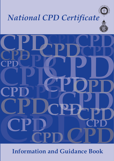

# *National CPD Certificate*



**Information and Guidance Book**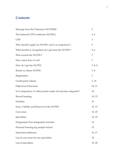# **Contents**

| Message from the Chairman NCCPDIM                                | $\overline{2}$ |
|------------------------------------------------------------------|----------------|
| The National CPD Certificate (NCPDC)                             | 3,4            |
| <b>CPD</b>                                                       | 3              |
| Why should I apply for NCPDC and is it compulsory?               | 5              |
| What benefit or recognition do I get from the NCPDC?             | 5, 6           |
| Who awards the NCPDC?                                            | 7              |
| How much does it cost?                                           | 7              |
| How do I get the NCPDC                                           | 7, 8, 9        |
| Routes to obtain NCPDC                                           | 7,8            |
| Registration                                                     | 7              |
| Credit point scheme                                              | 7, 14          |
| Objectives/Outcomes                                              | 10, 11         |
| Is it compulsory to collect points under all outcome categories? | 10             |
| Record keeping                                                   | 10, 15         |
| Portfolio                                                        | 10             |
| Issue, Validity and Renewal of the NCPDC                         | 12, 13         |
| Core areas                                                       | 12, 18         |
| Specialties                                                      | 12, 19         |
| Designated/Non designated activities                             | 12             |
| Personal learning log sample format                              | 15             |
| Important addresses                                              | 16, 17         |
| List of core areas for non specialists                           | 18             |
| List of specialties                                              | 19, 20         |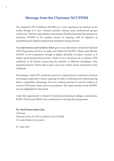# **Message from the Chairman NCCPDIM**

The National CPD Certificate (NCPDC) is a new experience for doctors in Sri Lanka though it is now common practice among many professional groups world over. The Sri Lanka Medical Association (SLMA) has taken the initiative to introduce NCPDC to Sri Lankan doctors in keeping with its objective of maintaining the highest professional standards among doctors.

This *Information and Guidance Book* gives you information about the National CPD Programme and how to apply and obtain the NCPDC. Please note that the NCPDC is not compulsory though is highly desirable in today's context as it reflects good professional practice. There is now consensus on a common CPD certificate to all doctors preserving the identity of different disciplines. Non specialist doctors will be able to get a core area of their choice mentioned in the certificate.

Possessing a valid CPD certificate issued at a national level would have obvious advantages especially to those aspiring for jobs or training posts abroad giving them a competitive advantage. It is now common practice to ask for evidence of current CPD status under such circumstances. The other benefits of the NCPDC too are highlighted in this book.

I take this opportunity to thank all medical professional colleges, associations, SLMC, SLDA and GMOA who contributed to develop this programme.

#### **Dr. Sunil Seneviratne Epa**

*Chairman National Centre for CPD in Medicine (NCCPDIM) Sri Lanka Medical Association*

*01st May 2010*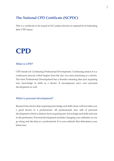# **The National CPD Certificate (NCPDC)**

This is a certificate to be issued to Sri Lankan doctors at national level indicating their CPD status.

# **CPD CPD**

## *What is CPD?*

CPD stands for Continuing Professional Development. Continuing means it is a continuous process which begins from the day you start practicing as a doctor. The term Professional Development has a broader meaning than just acquiring new knowledge or skills as a doctor. It encompasses one's own personal development as well.

## *What is personal development?*

Research has shown that acquiring knowledge and skills alone will not make you a good doctor or a professional. All professionals now talk of personal development which is distinct from acquiring new knowledge and skills relevant to the profession. Personal development includes changing your attitudes as you go along and develop as a professional. It is your attitude that determines your behaviour.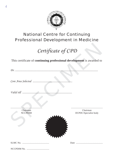

# National Centre for Continuing Professional Development in Medicine

*Certificate of CPD*

This certificate of **continuing professional development** is awarded to

*Dr. ...................................................................................................................*

*Core Area Selected .......................................................*

*Valid till .....................................................................*

.................................................... Chairman **NCCPDIM** 





SLMC No.............................................

Date ............................................

NCCPDIM No......................................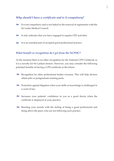# *Why should I have a certificate and is it compulsory?*

- ration with the It is not compulsory and is not linked to the renewal of registration with the Sri Lanka Medical Council.
- $\odot$  It only indicates that you have engaged in regular CPD activities.
- $\odot$  It is an essential part of accepted good professional practice.

#### *What benefit or recognition do I get from the NCPDC?*

At the moment there is no other recognition for the National CPD Certificate as it is a novelty for Sri Lankan doctors. However, you may consider the following potential benefits of having a CPD certificate in the future.

- Recognition by other professional bodies overseas. This will help doctors [ obtain jobs or postgraduate training posts.
- Protection against litigation when your skills or knowledge is challenged in [ a court of law.
- Increases your patients' confidence in you as a good doctor when the [ certificate is displayed at your practice.
- Boosting your morale with the feeling of being a good professional and [being above the peers who are not following such practice.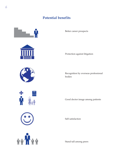# **Potential benefits**



Better career prospects

Protection against litigation

Recognition by overseas professional

Self satisfaction

Stand tall among peers





☺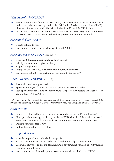## *Who awards the NCPDC?*

- The National Centre for CPD in Medicine (NCCPDIM) awards the certificate. It is a body currently functioning under the Sri Lanka Medical Association (SLMA). However, it may come under the Sri Lanka Medical Council (SLMC) in future.  $\partial$
- NCCPDIM is run by a Central CPD Committee (CCPD.COM) which comprises representatives from all recognized medical professional bodies in Sri Lanka.  $\infty$

## *How much does it cost?*

- It costs nothing to you. ले
- Programme is funded by the Ministry of Health (MOH).  $\hat{\sigma}$

## *How do I get the NCPDC?* (see p. 8, 9)

- Read this *Information and Guidance Book* carefully.  $\partial$
- Select your route and registering body. ले
- Apply for registration.  $\hat{\mathbf{\sigma}}$
- Engage in CPD activities worth fifty credit points in one year.  $\hat{\sigma}$
- Prepare and submit your portfolio to registering body. (see p. 9)  $\hat{\sigma}$

### *Routes to obtain NCPDC* (see p. 8)

- Two main routes are proposed. ले
- Specialist route (SR) for specialists via respective professional bodies.  $\partial \phi$
- Non specialist route (NSR) or District route (DR) for other doctors via District CPD Committees (DCPD.COM). ले

*NB: please note that specialists may also use district route and non specialists affiliated to professional bodies (eg. College of General Practitioners) may also use specialist route if they wish.* 

## *Registration*

- Apply in writing to the registering body of your choice. (see p. 16 for addresses) ले
- Non specialists may apply directly to the NCCPDIM at the SLMA office at No. 6, Wijerama Mawatha, Colombo 7 as district committees are not functioning as yet.  $\hat{\sigma}$
- Indicate your core area if any.  $\hat{\sigma}$
- Follow the guidelines given below. ले

## *Credit point scheme*

- Already prepared and published. (see p. 14)  $\hat{\sigma}$
- All CPD activities are categorized under five different objectives/outcomes.  $\partial$
- Each CPD activity is entitled to certain number of points and you decide on it yourself according to guidelines.  $\partial$
- You need to score fifty credit points in one year in order to obtain the NCPDC.  $\hat{\mathbf{\sigma}}$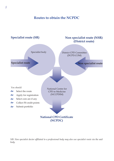# **Routes to obtain the NCPDC**



*NB: Non specialist doctor affiliated to a professional body may also use specialist route via the said body.*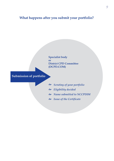# **What happens after you submit your portfolio?**



# **Submission of portfolio**

- *Scrutiny of your portfolio* [
- *Eligibility decided* [
- *Name submitted to NCCPDIM* [
- *Issue of the Certificate* [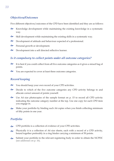# *Objectives/Outcomes*

Five different objectives/outcomes of the CPD have been identified and they are as follows:

- Knowledge development while maintaining the existing knowledge in a systematic way.  $\hat{\sigma}$
- Skill development while maintaining the existing skills in a systematic way. ले
- Development of attitude and behaviour expected of a professional.  $\hat{\sigma}$
- Personal growth or development.  $\partial$
- Development into a self directed reflective learner. ले

## *Is it compulsory to collect points under all outcome categories?*

- It is best if you could collect from all five outcome categories as it gives a mixed bag of points. ले
- You are expected to cover at least three outcome categories. ले

## *Record keeping*

- You should keep your own record of your CPD activities. ले
- Decide to which of the five outcome categories any CPD activity belongs to and allocate correct amount of points yourself.  $\hat{\mathbf{\Omega}}$
- Use A4 size photocopies of the sample format on p. 15 to record all CPD activity indicating the outcome category number at the top. Use one copy for each CPD item you engage in.  $\hat{\mathbf{\infty}}$
- Make your portfolio by binding such A4 copies when you finish collecting minimum of fifty points in one year.  $\sum_{n=1}^{\infty}$

## *Portfolio*

- CPD portfolio is a collection of evidence of your CPD activities.  $\partial$
- Physically it is a collection of A4 size sheets, each with a record of a CPD activity, bound together preferably in a ring binder carrying a minimum of 50 points.  $\approx$
- Submit your portfolio to the relevant registering body in order to obtain the NCPDC (see addresses on p. 16).  $\sum_{i=1}^{n}$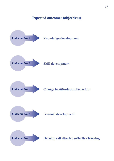# **Expected outcomes (objectives)**

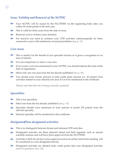# *Issue, Validity and Renewal of the NCPDC*

- Your NCPDC will be issued by the NCCPDIM via the registering body after you collect 50 credit points in the first year.  $\hat{\mathbf{\Omega}}$
- This is valid for three years from the date of issue.  $\hat{\mathbf{e}}$
- Renewal cycle is of three years duration. ले
- For renewal you need to continue your CPD activities uninterruptedly for three consecutive years with submission of annual portfolios (see p. 13). ले

#### *Core areas*

- This is mainly for the benefit of non specialist doctors as it gives a recognition to an area of interest. ले
- It is not compulsory to select a core area. ले
- If you want a core area mentioned in your NCPDC you should indicate the same at the time of registration. ले
- Select only one core area from the list already published (see p. 18). ले
- You should score twenty percent of total credit point amount (i.e. 10 points) from activities related to your selected core area if it is to be mentioned in the certificate. ले

(Please note that this list is being currently updated)

#### *Specialties*

- This is for specialists. ले
- Select one from the list already published (see p. 19) ले
- Specialist should score minimum of sixty percent of points (30 points) from the selected specialty.  $\delta$
- Selected specialty will be mentioned in the certificate. ले

#### *Designated/Non designated activities*

- This is to distinguish between formal and informal CPD activities. ले
- Designated activities are those planned ahead and held regularly such as annual scientific sessions and will have prior approval from the NCCPDIM. ले
- Activities which do not have prior approval such as an ad hoc lunch time meeting will be considered as a non designated activity.  $\hat{\sigma}$
- Designated activities are allotted more credit points than non designated activities (refer to guidance on p. 14). ले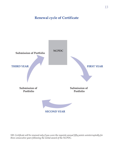# **Renewal cycle of Certificate**

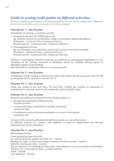# *Guide to scoring credit points on different activities*

*(Points are awarded by yourself based on the following guidelines for each outcome category below. Please note the maximum points that can be scored under each outcome category)*

#### **Outcome No. 1 – max 20 points**

Participation at meetings or academic activities

- 1. Designated activities (NCCPDIM approved) Eg. academic sessions of a professional college or association, regional meetings etc. Participant – 3 points per hour, 2 points per half our Resource person – 5 points per hour, 3 points per half hour
- 2. Non-designated activities Eg. local meetings, case conferences, journal club activities, non-routine teaching. Participant – 2 points per hour, 1 point per half hour Resource person – 4 points per hour, 2 points per half hour

Evidence of participation should be annexed, eg. certificates of participation/registration of your attendance at the meeting concerned or attendance should be verifiable (having signed an attendance register at the meeting).

(Max 20 points as a participant and/or as a resource person)

#### **Outcome No. 2 – max 20 points**

Participation at skills training workshops/any other skills related activity, eg. practice drill on CPR (credit points are the same as for outcome No. 1).

#### **Outcome No. 3 – max 10 points**

Please give points on per item basis. For each item 2 points (eg. evidence of organizing or participating in voluntary service to the community such as a health camp).

#### **Outcome No. 4 – max 20 points**

Research and publications (research/review/leading article etc.)

- Recognized journal (Index Medicus listed) 10 points per item
- Local journal/book/contribution to scientific documents 5 points per item
- Contribution to non professional publication or a lecture to such group 3 points per item

Evidence of the research publications should be provided, eg. copy of the journal. (A reflective analysis of a research with emphasis on areas for improvement and learning experiences can also be submitted.)

#### **Outcome No. 5 – max 30 points**

Self learning activities Points granted per item of activity Eg. web based/postal update/newsletter etc – 2 points Reading on a topic or article and writing a summary of what you learn – 2 points Reflective learning per entry – 2 points (Eg. an experience or something you have done, with reference to your own mistakes or drawbacks and how you would improve them – a critical analysis) Audit – 5 points Any other item – 2 points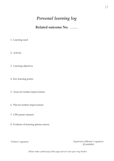# *Personal learning log*

**Related outcome No. ................**

- 1. Learning need
- 2. Activity
- 3. Learning objectives
- 4. Key learning points
- 5. Areas for further improvement
- 6. Plan for further improvement
- 7. CPD points claimed
- 8. Evidence of learning (please annex)

*Trainee's signature Supervisor's/Mentor's signature (if available)*

*(Please make a photocopy of this page and use it for your ring binder)*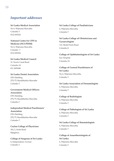# *Important addresses*

**Sri Lanka Medical Association**

No 6, Wijerama Mawatha Colombo 7. 0112 693324

**National Centre for CPD in Medicine (NCCPDIM)**

No 6, Wijerama Mawatha Colombo 7. 0112 693324

**Sri Lanka Medical Council**  31, Norris Canal Road Colombo 10.

011 2691848

Colombo 7.

**Sri Lanka Dental Association** OPA Building 275/75, Bauddhaloka Mawatha

## **Government Medical Officers Association**

OPA Building 275/75, Bauddhaloka Mawatha Colombo 7.

**Independent Medical Practitioners' Association**  OPA Building 275/75, Bauddhaloka Mawatha Colombo 7.

**Ceylon College of Physicians** 341/1, Kotte Road Rajagiriya.

**College of Surgeons of Sri Lanka** 6, Independence Avenue Colombo 7.

**Sri Lanka College of Paediatricians** 6, Wijerama Mawatha Colombo 7.

**Sri Lanka College of Obstetricians and Gynaecologists**  112, Model Farm Road Colombo 8.

**College of Ophthalmologists of Sri Lanka** Eye Hospital Colombo 10.

**College of General Practitioners of Sri Lanka**  No 6, Wijerama Mawatha Colombo 7.

**Sri Lanka Association of Dermatologists** 6, Wijerama Mawatha Colombo 7.

**College of Radiologists** 6, Wijerama Mawatha Colombo 7.

**College of Pathologists of Sri Lanka**  6, Wijerama Mawatha Colombo 7.

**Sri Lanka College of Haematologists**  6, Wijerama Mawatha Colombo 7.

**College of Anaesthesiologists of Sri Lanka** 6, Wijerama Mawatha Colombo 7.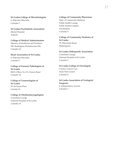## **Sri Lanka College of Microbiologists**

6, Wijerama Mawatha Colombo 7.

**Sri Lanka Psychiatrists Association** Mental Hospital Angoda.

#### **College of Medical Administrators**

Ministry of Healthcare and Nutrition 385, Baddegama Wimalawansa Mw Colombo 10.

## **Heart Association of Sri Lanka**

6, Wijerama Mawatha Colombo 7.

## **College of Forensic Pathologists of Sri Lanka**

JMO's Office, No 111, Francis Road Colombo 10.

#### **College of Venereologists of Sri Lanka** 29, De Saram Place Colombo 10.

#### **College of Otorhinolaryngologists** Consultant Lounge National Hospital of Sri Lanka Colombo 10.

#### **College of Community Physicians**  Dept. of Community Medicine Public Health Lounge Public Health Complex Narahenpita Colombo 5.

**College of Community Dentistry of Sri Lanka** 39, Piliyandala Road Maharagama.

#### **Sri Lanka Orthopaedic Association**

Consultant Lounge National Hospital of Sri Lanka Colombo 7.

# **Sri Lanka College of Oncologists**

Ceylinco Cancer Care Hyde Park Corner Colombo 2.

#### **Sri Lanka Association of Urological Surgeons** 6, Independence Avenue Colombo 7.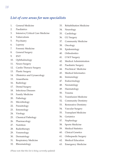# *List of core areas for non specialists*

- 1. General Medicine
- 2. Paediatrics
- 3. Intensive/Critical Care Medicine
- 4. Tuberculosis
- 5. Psychiatry
- 6. Leprosy
- 7. Forensic Medicine
- 8. General Surgery
- 9. ENT
- 10. Ophthalmology
- 11. Neuro Surgery
- 12. Cardio Thoracic Surgery
- 13. Plastic Surgery
- 14. Obstetrics and Gynaecology
- 15. Anaesthesia
- 16. Radiology
- 17. Dental Surgery
- 18. Infectious Diseases
- 19. Family Medicine
- 20. Pathology
- 21. Microbiology
- 22. Parasitology
- 23. Entomology
- 24. Virology
- 25. Chemical Pathology
- 26. Pharmacology
- 27. Nutrition
- 28. Radiotherapy
- 29. Venereology
- 30. Dermatology
- 31. Respiratory Medicine
- 32. Rheumatology
- 33. Rehabilitation Medicine
- 34. Neurology
- 35. Cardiology
- 36. GU Surgery
- 37. Community Medicine
- 38. Oncology
- 39. Epidemiology
- 40. Orthodontics
- 41. O M F Surgery
- 42. Medical Administration
- 43. Paediatric Surgery
- 44. Preclinical Medicine
- 45. Medical Informatics
- 46. Immunology
- 47. Endocrinology
- 48. Neonatology
- 49. Haematology
- 50. Trauma
- 51. Transfusion Medicine
- 52. Community Dentistry
- 53. Restorative Dentistry
- 54. Vascular Surgery
- 55. Transplant Medicine
- 56. Geriatrics
- 57. Nephrology
- 58. Sports Medicine
- 59. Medical Statistics
- 60. Clinical Genetics
- 61. Orthopaedic Surgery
- 62. Medical Education
- 63. Emergency Medicine

*(Please note that this list is being currently updated)*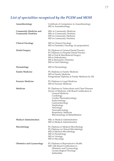# *List of specialties recognized by the PGIM and MOH*

| Anaesthesiology                                             | Certificate of Competence in Anaesthesiology<br>MD in Anaesthesiology                                                                                                                                                                                                                                             |
|-------------------------------------------------------------|-------------------------------------------------------------------------------------------------------------------------------------------------------------------------------------------------------------------------------------------------------------------------------------------------------------------|
| <b>Community Medicine and</b><br><b>Community Dentistry</b> | MSc in Community Medicine<br>MSc in Community Dentistry<br>MD in Community Medicine<br>MD in Community Dentistry                                                                                                                                                                                                  |
| <b>Clinical Oncology</b>                                    | MD in Clinical Oncology<br>MD in Paediatric Oncology (in preparation)                                                                                                                                                                                                                                             |
| <b>Dental Surgery</b>                                       | PG Diploma in General Dental Practice<br>PG Diploma in Hospital Dental Practice<br>MS in Oral & Maxillofacial Surgery<br>MS in Orthodontics<br>MS in Restorative Dentistry<br>MD in Oral Pathology                                                                                                                |
| Dermatology                                                 | MD in Dermatology                                                                                                                                                                                                                                                                                                 |
| <b>Family Medicine</b>                                      | PG Diploma in Family Medicine<br>MD in Family Medicine<br>Postgraduate Diploma in Family Medicine by DE                                                                                                                                                                                                           |
| <b>Forensic Medicine</b>                                    | PG Diploma in Legal Medicine<br>MD in Forensic Medicine                                                                                                                                                                                                                                                           |
| Medicine                                                    | PG Diploma in Tuberculosis and Chest Diseases<br>Doctor of Medicine with Board Certification in<br>General Medicine<br>Cardiology<br>Cardiac Electrophysiology<br>Endocrinology<br>Gastroenterology<br>Nephrology<br>Neurology<br>Neurophysiology<br><b>Respiratory Medicine</b><br>Rheumatology & Rehabilitation |
| <b>Medical Administration</b>                               | MSc in Medical Administration<br>MD in Medical Administration                                                                                                                                                                                                                                                     |
| Microbiology                                                | PG Diploma in Medical Microbiology<br>PG Diploma in Clinical Microbiology<br>MD in Medical Microbiology<br>MD in Parasitology<br>MD in Virology<br>MD in Mycology                                                                                                                                                 |
| <b>Obstetrics and Gynaecology</b>                           | PG Diploma in Reproductive Health<br>MD with Board Certification in<br>Obstetrics and Gynaecology<br>Gynaecological Oncology<br>Subfertility                                                                                                                                                                      |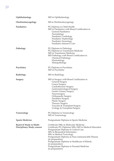| Ophthalmology                                                 | MD in Ophthalmology                                                                                                                                                                                                                                                                                                                                                                                              |
|---------------------------------------------------------------|------------------------------------------------------------------------------------------------------------------------------------------------------------------------------------------------------------------------------------------------------------------------------------------------------------------------------------------------------------------------------------------------------------------|
| Otorhinolaryngology                                           | MS in Otorhinolaryngology                                                                                                                                                                                                                                                                                                                                                                                        |
| <b>Paediatrics</b>                                            | PG Diploma in Child Health<br>MD in Paediatrics with Board Certification in<br><b>General Paediatrics</b><br>Neonatalogy<br>Paediatric Cardiology<br>Paediatric Nephrology<br>Paediatric Neurology<br>Paediatric Intensive Care                                                                                                                                                                                  |
| Pathology                                                     | PG Diploma in Pathology<br>PG Diploma in Transfusion Medicine<br>MD in Transfusion Medicine<br>MD Pathology with Board Certification in<br><b>Chemical Pathology</b><br>Haematology<br>Histopathology                                                                                                                                                                                                            |
| Psychiatry                                                    | PG Diploma in Psychiatry<br>MD in Psychiatry                                                                                                                                                                                                                                                                                                                                                                     |
| Radiology                                                     | MD in Radiology                                                                                                                                                                                                                                                                                                                                                                                                  |
| <b>Surgery</b>                                                | MD in Surgery with Board Certification in<br><b>General Surgery</b><br><b>Cancer Surgery</b><br>Cardiothoracic Surgery<br>Gastroenterological Surgery<br>Genito Urinary Surgery<br>Neurosurgery<br>Orthopaedic Surgery<br>Paediatric Surgery<br><b>Plastic Surgery</b><br><b>Thoracic Surgery</b><br>Vascular & Transplant Surgery<br>Urology & Transplant Surgery                                               |
| Venereology                                                   | PG Diploma in Venereology<br>MD in Venereology                                                                                                                                                                                                                                                                                                                                                                   |
| <b>Sports Medicine</b>                                        | Postgraduate Diploma in Sports Medicine                                                                                                                                                                                                                                                                                                                                                                          |
| Board of Study in Multi-<br><b>Disciplinary Study courses</b> | Certificate/MSc in Molecular Medicine<br>Certificate/PG Diploma/MSc/MD in Medical Education<br>Postgraduate Diploma in Critical Care<br>MSc in Biomedical Informatics<br>MSc in Medical Toxicology<br>Postgraduate Diploma in Non-communicable Disease<br>(in preparation)<br>Postgraduate Diploma in Healthcare of Elderly<br>(in preparation)<br>Postgraduate Diploma in Prenatal Medicine<br>(in preparation) |